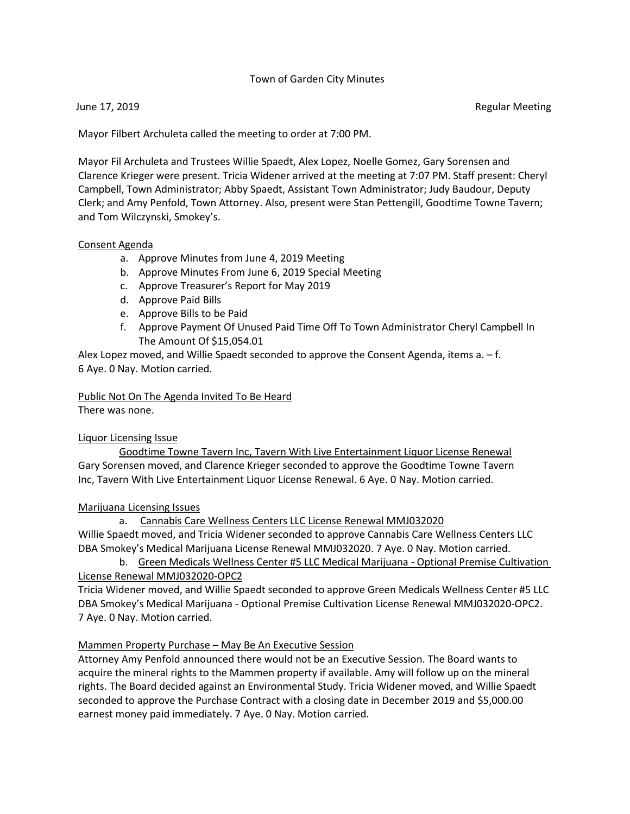## Town of Garden City Minutes

June 17, 2019 Regular Meeting

Mayor Filbert Archuleta called the meeting to order at 7:00 PM.

Mayor Fil Archuleta and Trustees Willie Spaedt, Alex Lopez, Noelle Gomez, Gary Sorensen and Clarence Krieger were present. Tricia Widener arrived at the meeting at 7:07 PM. Staff present: Cheryl Campbell, Town Administrator; Abby Spaedt, Assistant Town Administrator; Judy Baudour, Deputy Clerk; and Amy Penfold, Town Attorney. Also, present were Stan Pettengill, Goodtime Towne Tavern; and Tom Wilczynski, Smokey's.

#### Consent Agenda

- a. Approve Minutes from June 4, 2019 Meeting
- b. Approve Minutes From June 6, 2019 Special Meeting
- c. Approve Treasurer's Report for May 2019
- d. Approve Paid Bills
- e. Approve Bills to be Paid
- f. Approve Payment Of Unused Paid Time Off To Town Administrator Cheryl Campbell In The Amount Of \$15,054.01

Alex Lopez moved, and Willie Spaedt seconded to approve the Consent Agenda, items a. – f. 6 Aye. 0 Nay. Motion carried.

# Public Not On The Agenda Invited To Be Heard

There was none.

## Liquor Licensing Issue

 Goodtime Towne Tavern Inc, Tavern With Live Entertainment Liquor License Renewal Gary Sorensen moved, and Clarence Krieger seconded to approve the Goodtime Towne Tavern Inc, Tavern With Live Entertainment Liquor License Renewal. 6 Aye. 0 Nay. Motion carried.

## Marijuana Licensing Issues

## a. Cannabis Care Wellness Centers LLC License Renewal MMJ032020

Willie Spaedt moved, and Tricia Widener seconded to approve Cannabis Care Wellness Centers LLC DBA Smokey's Medical Marijuana License Renewal MMJ032020. 7 Aye. 0 Nay. Motion carried.

 b. Green Medicals Wellness Center #5 LLC Medical Marijuana - Optional Premise Cultivation License Renewal MMJ032020-OPC2

Tricia Widener moved, and Willie Spaedt seconded to approve Green Medicals Wellness Center #5 LLC DBA Smokey's Medical Marijuana - Optional Premise Cultivation License Renewal MMJ032020-OPC2. 7 Aye. 0 Nay. Motion carried.

## Mammen Property Purchase – May Be An Executive Session

Attorney Amy Penfold announced there would not be an Executive Session. The Board wants to acquire the mineral rights to the Mammen property if available. Amy will follow up on the mineral rights. The Board decided against an Environmental Study. Tricia Widener moved, and Willie Spaedt seconded to approve the Purchase Contract with a closing date in December 2019 and \$5,000.00 earnest money paid immediately. 7 Aye. 0 Nay. Motion carried.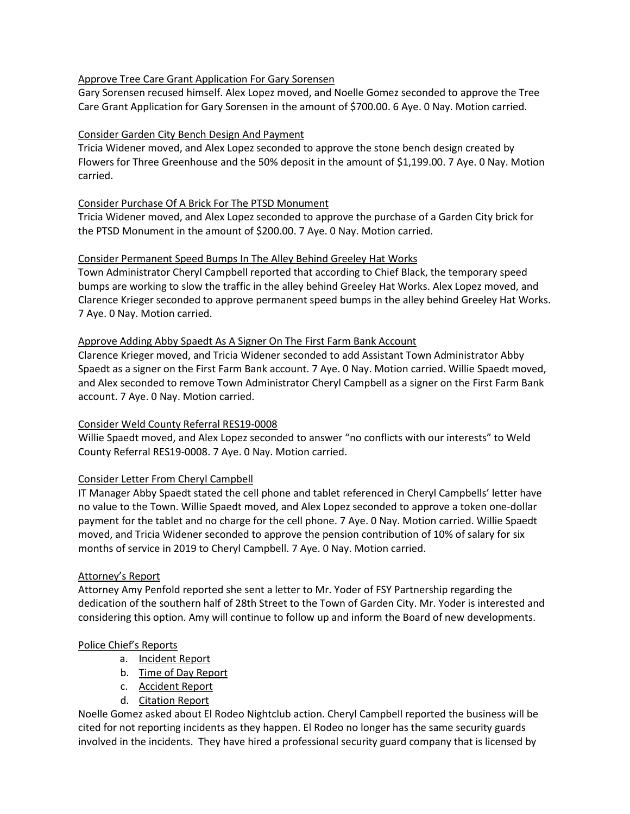## Approve Tree Care Grant Application For Gary Sorensen

Gary Sorensen recused himself. Alex Lopez moved, and Noelle Gomez seconded to approve the Tree Care Grant Application for Gary Sorensen in the amount of \$700.00. 6 Aye. 0 Nay. Motion carried.

## Consider Garden City Bench Design And Payment

Tricia Widener moved, and Alex Lopez seconded to approve the stone bench design created by Flowers for Three Greenhouse and the 50% deposit in the amount of \$1,199.00. 7 Aye. 0 Nay. Motion carried.

## Consider Purchase Of A Brick For The PTSD Monument

Tricia Widener moved, and Alex Lopez seconded to approve the purchase of a Garden City brick for the PTSD Monument in the amount of \$200.00. 7 Aye. 0 Nay. Motion carried.

## Consider Permanent Speed Bumps In The Alley Behind Greeley Hat Works

Town Administrator Cheryl Campbell reported that according to Chief Black, the temporary speed bumps are working to slow the traffic in the alley behind Greeley Hat Works. Alex Lopez moved, and Clarence Krieger seconded to approve permanent speed bumps in the alley behind Greeley Hat Works. 7 Aye. 0 Nay. Motion carried.

## Approve Adding Abby Spaedt As A Signer On The First Farm Bank Account

Clarence Krieger moved, and Tricia Widener seconded to add Assistant Town Administrator Abby Spaedt as a signer on the First Farm Bank account. 7 Aye. 0 Nay. Motion carried. Willie Spaedt moved, and Alex seconded to remove Town Administrator Cheryl Campbell as a signer on the First Farm Bank account. 7 Aye. 0 Nay. Motion carried.

# Consider Weld County Referral RES19-0008

Willie Spaedt moved, and Alex Lopez seconded to answer "no conflicts with our interests" to Weld County Referral RES19-0008. 7 Aye. 0 Nay. Motion carried.

## Consider Letter From Cheryl Campbell

IT Manager Abby Spaedt stated the cell phone and tablet referenced in Cheryl Campbells' letter have no value to the Town. Willie Spaedt moved, and Alex Lopez seconded to approve a token one-dollar payment for the tablet and no charge for the cell phone. 7 Aye. 0 Nay. Motion carried. Willie Spaedt moved, and Tricia Widener seconded to approve the pension contribution of 10% of salary for six months of service in 2019 to Cheryl Campbell. 7 Aye. 0 Nay. Motion carried.

## Attorney's Report

Attorney Amy Penfold reported she sent a letter to Mr. Yoder of FSY Partnership regarding the dedication of the southern half of 28th Street to the Town of Garden City. Mr. Yoder is interested and considering this option. Amy will continue to follow up and inform the Board of new developments.

## Police Chief's Reports

- a. Incident Report
- b. Time of Day Report
- c. Accident Report
- d. Citation Report

Noelle Gomez asked about El Rodeo Nightclub action. Cheryl Campbell reported the business will be cited for not reporting incidents as they happen. El Rodeo no longer has the same security guards involved in the incidents. They have hired a professional security guard company that is licensed by